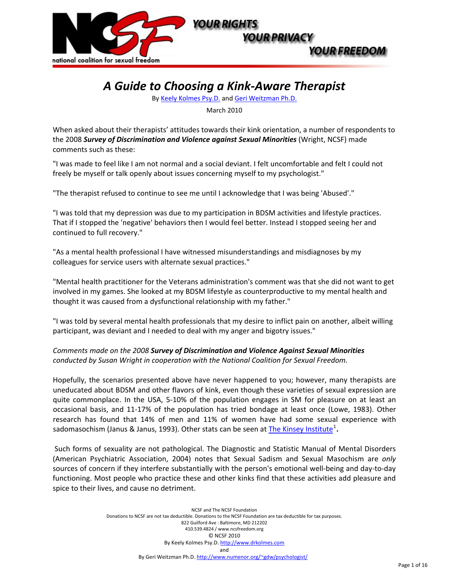

# *A Guide to Choosing a Kink"Aware Therapist*

By Keely [Kolmes](http://www.drkolmes.com/) Psy.D. and Geri [Weitzman](http://www.numenor.org/%7Egdw/psychologist/) Ph.D.

March 2010

When asked about their therapists' attitudes towards their kink orientation, a number of respondents to the 2008 *Survey of Discrimination and Violence against Sexual Minorities* (Wright, NCSF) made comments such as these:

"I was made to feel like I am not normal and a social deviant. I felt uncomfortable and felt I could not freely be myself or talk openly about issues concerning myself to my psychologist."

"The therapist refused to continue to see me until I acknowledge that I was being 'Abused'."

"I was told that my depression was due to my participation in BDSM activities and lifestyle practices. That if I stopped the 'negative' behaviors then I would feel better. Instead I stopped seeing her and continued to full recovery."

"As a mental health professional I have witnessed misunderstandings and misdiagnoses by my colleagues for service users with alternate sexual practices."

"Mental health practitioner for the Veterans administration's comment was that she did not want to get involved in my games. She looked at my BDSM lifestyle as counterproductive to my mental health and thought it was caused from a dysfunctional relationship with my father."

"I was told by several mental health professionals that my desire to inflict pain on another, albeit willing participant, was deviant and I needed to deal with my anger and bigotry issues."

*Comments made on the 2008 Survey of Discrimination and Violence Against Sexual Minorities conducted by Susan Wright in cooperation with the National Coalition for Sexual Freedom.!!*

Hopefully, the scenarios presented above have never happened to you; however, many therapists are uneducated about BDSM and other flavors of kink, even though these varieties of sexual expression are quite commonplace. In the USA, 5-10% of the population engages in SM for pleasure on at least an occasional basis, and 11-17% of the population has tried bondage at least once (Lowe, 1983). Other research has found that 14% of men and 11% of women have had some sexual experience with sadomasochism (Janus & Janus, 1993). Other stats can be seen at <u>The Kinsey [Institute](http://www.kinseyinstitute.org/resources/FAQ.html#bdsm)</u><sup>[1](#page-15-0)</sup>.

Such forms of sexuality are not pathological. The Diagnostic and Statistic Manual of Mental Disorders (American Psychiatric Association, 2004) notes that Sexual Sadism and Sexual Masochism are *only* sources of concern if they interfere substantially with the person's emotional well-being and day-to-day functioning. Most people who practice these and other kinks find that these activities add pleasure and spice to their lives, and cause no detriment.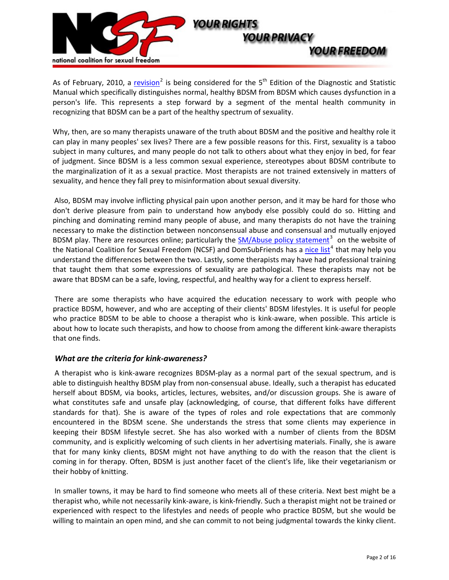

As of February, [2](#page-15-1)010, a [revision](http://tinyurl.com/yfsvsuw)<sup>2</sup> is being considered for the 5<sup>th</sup> Edition of the Diagnostic and Statistic Manual which specifically distinguishes normal, healthy BDSM from BDSM which causes dysfunction in a person's life. This represents a step forward by a segment of the mental health community in recognizing that BDSM can be a part of the healthy spectrum of sexuality.

Why, then, are so many therapists unaware of the truth about BDSM and the positive and healthy role it can play in many peoples' sex lives? There are a few possible reasons for this. First, sexuality is a taboo subject in many cultures, and many people do not talk to others about what they enjoy in bed, for fear of judgment. Since BDSM is a less common sexual experience, stereotypes about BDSM contribute to the marginalization of it as a sexual practice. Most therapists are not trained extensively in matters of sexuality, and hence they fall prey to misinformation about sexual diversity.

Also, BDSM may involve inflicting physical pain upon another person, and it may be hard for those who don't derive pleasure from pain to understand how anybody else possibly could do so. Hitting and pinching and dominating remind many people of abuse, and many therapists do not have the training necessary to make the distinction between nonconsensual abuse and consensual and mutually enjoyed BDSM play. There are resources online; particularly the **[SM/Abuse](http://www.ncsfreedom.org/index.php?option=com_keyword&id=187) policy statement**<sup>[3](#page-15-1)</sup> on the website of the National Coalition for Sexual Freedom (NCSF) and DomSubFriends has a nice list<sup>[4](#page-15-1)</sup> that may help you understand the differences between the two. Lastly, some therapists may have had professional training that taught them that some expressions of sexuality are pathological. These therapists may not be aware that BDSM can be a safe, loving, respectful, and healthy way for a client to express herself.

There are some therapists who have acquired the education necessary to work with people who practice BDSM, however, and who are accepting of their clients' BDSM lifestyles. It is useful for people who practice BDSM to be able to choose a therapist who is kink-aware, when possible. This article is about how to locate such therapists, and how to choose from among the different kink-aware therapists that one finds.

## *What are the criteria for kink"awareness?*!!

A therapist who is kink-aware recognizes BDSM-play as a normal part of the sexual spectrum, and is able to distinguish healthy BDSM play from non-consensual abuse. Ideally, such a therapist has educated herself about BDSM, via books, articles, lectures, websites, and/or discussion groups. She is aware of what constitutes safe and unsafe play (acknowledging, of course, that different folks have different standards for that). She is aware of the types of roles and role expectations that are commonly encountered in the BDSM scene. She understands the stress that some clients may experience in keeping their BDSM lifestyle secret. She has also worked with a number of clients from the BDSM community, and is explicitly welcoming of such clients in her advertising materials. Finally, she is aware that for many kinky clients, BDSM might not have anything to do with the reason that the client is coming in for therapy. Often, BDSM is just another facet of the client's life, like their vegetarianism or their hobby of knitting.

In smaller towns, it may be hard to find someone who meets all of these criteria. Next best might be a therapist who, while not necessarily kink-aware, is kink-friendly. Such a therapist might not be trained or experienced with respect to the lifestyles and needs of people who practice BDSM, but she would be willing to maintain an open mind, and she can commit to not being judgmental towards the kinky client.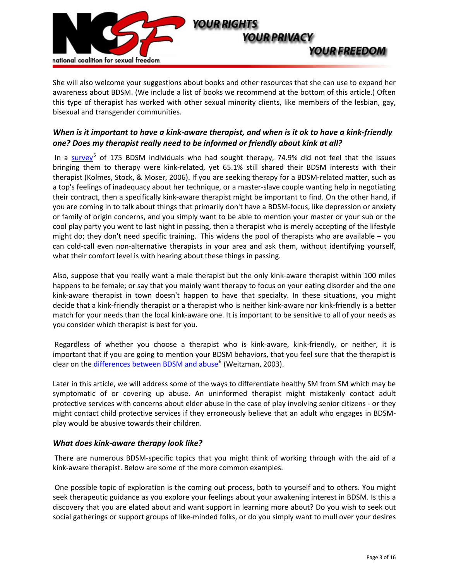

She will also welcome your suggestions about books and other resources that she can use to expand her awareness about BDSM. (We include a list of books we recommend at the bottom of this article.) Often this type of therapist has worked with other sexual minority clients, like members of the lesbian, gay, bisexual and transgender communities.

# When is it important to have a kink-aware therapist, and when is it ok to have a kink-friendly *one? Does my therapist really need to be informed or friendly about kink at all?*

In a survey<sup>[5](#page-15-1)</sup> of 175 BDSM individuals who had sought therapy, 74.9% did not feel that the issues bringing them to therapy were kink-related, yet 65.1% still shared their BDSM interests with their therapist (Kolmes, Stock, & Moser, 2006). If you are seeking therapy for a BDSM-related matter, such as a top's feelings of inadequacy about her technique, or a master-slave couple wanting help in negotiating their contract, then a specifically kink-aware therapist might be important to find. On the other hand, if you are coming in to talk about things that primarily don't have a BDSM-focus, like depression or anxiety or family of origin concerns, and you simply want to be able to mention your master or your sub or the cool play party you went to last night in passing, then a therapist who is merely accepting of the lifestyle might do; they don't need specific training. This widens the pool of therapists who are available – you can cold-call even non-alternative therapists in your area and ask them, without identifying yourself, what their comfort level is with hearing about these things in passing.

Also, suppose that you really want a male therapist but the only kink-aware therapist within 100 miles happens to be female; or say that you mainly want therapy to focus on your eating disorder and the one kink-aware therapist in town doesn't happen to have that specialty. In these situations, you might decide that a kink-friendly therapist or a therapist who is neither kink-aware nor kink-friendly is a better match for your needs than the local kink-aware one. It is important to be sensitive to all of your needs as you consider which therapist is best for you.

Regardless of whether you choose a therapist who is kink-aware, kink-friendly, or neither, it is important that if you are going to mention your BDSM behaviors, that you feel sure that the therapist is clear on the differences between BDSM and abuse<sup>[6](#page-15-1)</sup> (Weitzman, 2003).

Later in this article, we will address some of the ways to differentiate healthy SM from SM which may be symptomatic of or covering up abuse. An uninformed therapist might mistakenly contact adult protective services with concerns about elder abuse in the case of play involving senior citizens - or they might contact child protective services if they erroneously believe that an adult who engages in BDSMplay would be abusive towards their children.

## *What does kink"aware therapy look like?*!!

There are numerous BDSM-specific topics that you might think of working through with the aid of a kink-aware therapist. Below are some of the more common examples.

One possible topic of exploration is the coming out process, both to yourself and to others. You might seek therapeutic guidance as you explore your feelings about your awakening interest in BDSM. Is this a discovery that you are elated about and want support in learning more about? Do you wish to seek out social gatherings or support groups of like-minded folks, or do you simply want to mull over your desires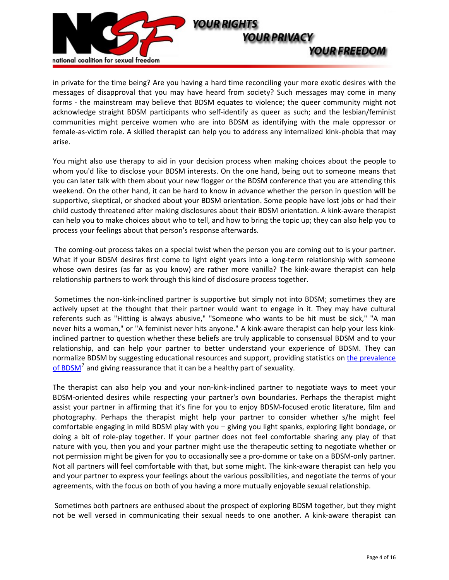

in private for the time being? Are you having a hard time reconciling your more exotic desires with the messages of disapproval that you may have heard from society? Such messages may come in many forms - the mainstream may believe that BDSM equates to violence; the queer community might not acknowledge straight BDSM participants who self-identify as queer as such; and the lesbian/feminist communities might perceive women who are into BDSM as identifying with the male oppressor or female-as-victim role. A skilled therapist can help you to address any internalized kink-phobia that may arise.

You might also use therapy to aid in your decision process when making choices about the people to whom you'd like to disclose your BDSM interests. On the one hand, being out to someone means that you can later talk with them about your new flogger or the BDSM conference that you are attending this weekend. On the other hand, it can be hard to know in advance whether the person in question will be supportive, skeptical, or shocked about your BDSM orientation. Some people have lost jobs or had their child custody threatened after making disclosures about their BDSM orientation. A kink-aware therapist can help you to make choices about who to tell, and how to bring the topic up; they can also help you to process your feelings about that person's response afterwards.!!

The coming-out process takes on a special twist when the person you are coming out to is your partner. What if your BDSM desires first come to light eight years into a long-term relationship with someone whose own desires (as far as you know) are rather more vanilla? The kink-aware therapist can help relationship partners to work through this kind of disclosure process together.

Sometimes the non-kink-inclined partner is supportive but simply not into BDSM; sometimes they are actively upset at the thought that their partner would want to engage in it. They may have cultural referents such as "Hitting is always abusive," "Someone who wants to be hit must be sick," "A man never hits a woman," or "A feminist never hits anyone." A kink-aware therapist can help your less kinkinclined partner to question whether these beliefs are truly applicable to consensual BDSM and to your relationship, and can help your partner to better understand your experience of BDSM. They can normalize BDSM by suggesting educational resources and support, providing statistics on the [prevalence](http://www.kinseyinstitute.org/resources/FAQ.html#bdsm) of BDSM<sup>[7](#page-15-1)</sup> and giving reassurance that it can be a healthy part of sexuality.

The therapist can also help you and your non-kink-inclined partner to negotiate ways to meet your BDSM-oriented desires while respecting your partner's own boundaries. Perhaps the therapist might assist your partner in affirming that it's fine for you to enjoy BDSM-focused erotic literature, film and photography. Perhaps the therapist might help your partner to consider whether s/he might feel comfortable engaging in mild BDSM play with you – giving you light spanks, exploring light bondage, or doing a bit of role-play together. If your partner does not feel comfortable sharing any play of that nature with you, then you and your partner might use the therapeutic setting to negotiate whether or not permission might be given for you to occasionally see a pro-domme or take on a BDSM-only partner. Not all partners will feel comfortable with that, but some might. The kink-aware therapist can help you and your partner to express your feelings about the various possibilities, and negotiate the terms of your agreements, with the focus on both of you having a more mutually enjoyable sexual relationship.

Sometimes both partners are enthused about the prospect of exploring BDSM together, but they might not be well versed in communicating their sexual needs to one another. A kink-aware therapist can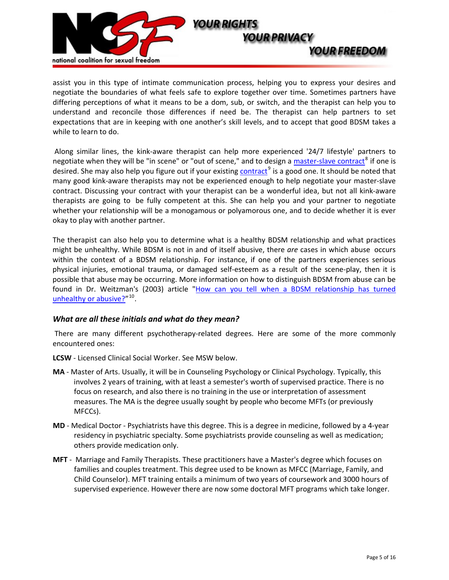

assist you in this type of intimate communication process, helping you to express your desires and negotiate the boundaries of what feels safe to explore together over time. Sometimes partners have differing perceptions of what it means to be a dom, sub, or switch, and the therapist can help you to understand and reconcile those differences if need be. The therapist can help partners to set expectations that are in keeping with one another's skill levels, and to accept that good BDSM takes a while to learn to do.

Along similar lines, the kink-aware therapist can help more experienced '24/7 lifestyle' partners to negotiate when they will be "in scene" or "out of scene," and to design a master-slave contract<sup>[8](#page-15-1)</sup> if one is desired. She may also help you figure out if your existing contract<sup>[9](#page-15-1)</sup> is a good one. It should be noted that many good kink-aware therapists may not be experienced enough to help negotiate your master-slave contract. Discussing your contract with your therapist can be a wonderful idea, but not all kink-aware therapists are going to be fully competent at this. She can help you and your partner to negotiate whether your relationship will be a monogamous or polyamorous one, and to decide whether it is ever okay to play with another partner.

The therapist can also help you to determine what is a healthy BDSM relationship and what practices might be unhealthy. While BDSM is not in and of itself abusive, there are cases in which abuse occurs within the context of a BDSM relationship. For instance, if one of the partners experiences serious physical injuries, emotional trauma, or damaged self-esteem as a result of the scene-play, then it is possible that abuse may be occurring. More information on how to distinguish BDSM from abuse can be found in Dr. Weitzman's (2003) article "How can you tell when a BDSM [relationship](http://www.numenor.org/%7Egdw/psychologist/bdsm-vs-abuse.htm) has turned [unhealthy](http://www.numenor.org/%7Egdw/psychologist/bdsm-vs-abuse.htm) or abusive? $"10$  $"10$ .

## *What are all these initials and what do they mean?*!!

There are many different psychotherapy-related degrees. Here are some of the more commonly encountered ones:

**LCSW** - Licensed Clinical Social Worker. See MSW below.

- MA Master of Arts. Usually, it will be in Counseling Psychology or Clinical Psychology. Typically, this involves 2 years of training, with at least a semester's worth of supervised practice. There is no focus on research, and also there is no training in the use or interpretation of assessment measures. The MA is the degree usually sought by people who become MFTs (or previously MFCCs).**!!**
- **MD** Medical Doctor Psychiatrists have this degree. This is a degree in medicine, followed by a 4-year residency in psychiatric specialty. Some psychiatrists provide counseling as well as medication; others provide medication only.
- **MFT** Marriage and Family Therapists. These practitioners have a Master's degree which focuses on families and couples treatment. This degree used to be known as MFCC (Marriage, Family, and Child Counselor). MFT training entails a minimum of two years of coursework and 3000 hours of supervised experience. However there are now some doctoral MFT programs which take longer.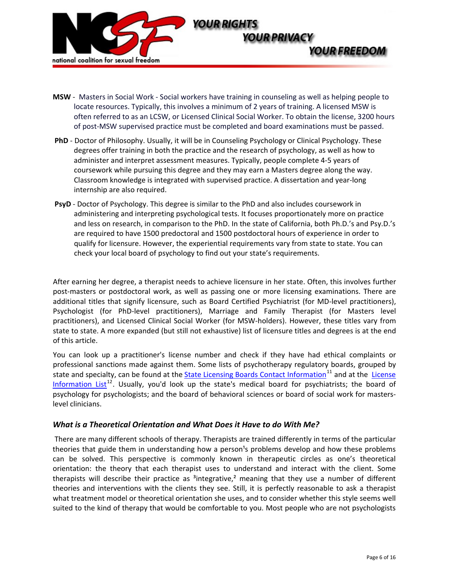

- MSW Masters in Social Work Social workers have training in counseling as well as helping people to locate resources. Typically, this involves a minimum of 2 years of training. A licensed MSW is often referred to as an LCSW, or Licensed Clinical Social Worker. To obtain the license, 3200 hours of post"MSW supervised practice must be completed and board examinations must be passed.
- PhD Doctor of Philosophy. Usually, it will be in Counseling Psychology or Clinical Psychology. These degrees offer training in both the practice and the research of psychology, as well as how to administer and interpret assessment measures. Typically, people complete 4-5 years of coursework while pursuing this degree and they may earn a Masters degree along the way. Classroom knowledge is integrated with supervised practice. A dissertation and year-long internship are also required.
- **PsyD** Doctor of Psychology. This degree is similar to the PhD and also includes coursework in administering and interpreting psychological tests. It focuses proportionately more on practice and less on research, in comparison to the PhD. In the state of California, both Ph.D.'s and Psy.D.'s are required to have 1500 predoctoral and 1500 postdoctoral hours of experience in order to qualify for licensure. However, the experiential requirements vary from state to state. You can check your local board of psychology to find out your state's requirements.

After earning her degree, a therapist needs to achieve licensure in her state. Often, this involves further post-masters or postdoctoral work, as well as passing one or more licensing examinations. There are additional titles that signify licensure, such as Board Certified Psychiatrist (for MD-level practitioners), Psychologist (for PhD-level practitioners), Marriage and Family Therapist (for Masters level practitioners), and Licensed Clinical Social Worker (for MSW-holders). However, these titles vary from state to state. A more expanded (but still not exhaustive) list of licensure titles and degrees is at the end of this article.

You can look up a practitioner's license number and check if they have had ethical complaints or professional sanctions made against them. Some lists of psychotherapy regulatory boards, grouped by state and specialty, can be found at the **State Licensing Boards Contact [Information](http://www.stopbadtherapy.com/main/boards.shtml)**<sup>[11](#page-15-1)</sup> and at the [License](https://www.ubhonline.com/cred/credLicensingInfo.html) Information List<sup>[12](#page-15-1)</sup>. Usually, you'd look up the state's medical board for psychiatrists; the board of psychology for psychologists; and the board of behavioral sciences or board of social work for masterslevel clinicians.

## *What is a Theoretical Orientation and What Does it Have to do With Me?*

There are many different schools of therapy. Therapists are trained differently in terms of the particular theories that guide them in understanding how a person<sup>1</sup>s problems develop and how these problems can be solved. This perspective is commonly known in therapeutic circles as one's theoretical orientation: the theory that each therapist uses to understand and interact with the client. Some therapists will describe their practice as  $3$ integrative, $2$  meaning that they use a number of different theories and interventions with the clients they see. Still, it is perfectly reasonable to ask a therapist what treatment model or theoretical orientation she uses, and to consider whether this style seems well suited to the kind of therapy that would be comfortable to you. Most people who are not psychologists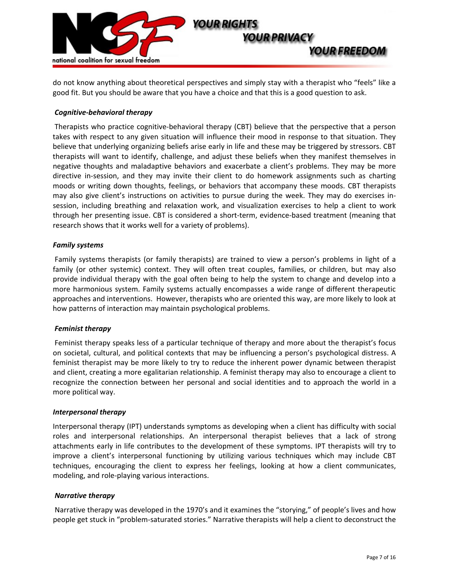

do not know anything about theoretical perspectives and simply stay with a therapist who "feels" like a good fit. But you should be aware that you have a choice and that this is a good question to ask.

## **Cognitive-behavioral therapy**

Therapists who practice cognitive-behavioral therapy (CBT) believe that the perspective that a person takes with respect to any given situation will influence their mood in response to that situation. They believe that underlying organizing beliefs arise early in life and these may be triggered by stressors. CBT therapists will want to identify, challenge, and adjust these beliefs when they manifest themselves in negative thoughts and maladaptive behaviors and exacerbate a client's problems. They may be more directive in-session, and they may invite their client to do homework assignments such as charting moods or writing down thoughts, feelings, or behaviors that accompany these moods. CBT therapists may also give client's instructions on activities to pursue during the week. They may do exercises insession, including breathing and relaxation work, and visualization exercises to help a client to work through her presenting issue. CBT is considered a short-term, evidence-based treatment (meaning that research shows that it works well for a variety of problems).

## *Family systems*!!

Family systems therapists (or family therapists) are trained to view a person's problems in light of a family (or other systemic) context. They will often treat couples, families, or children, but may also provide individual therapy with the goal often being to help the system to change and develop into a more harmonious system. Family systems actually encompasses a wide range of different therapeutic approaches and interventions. However, therapists who are oriented this way, are more likely to look at how patterns of interaction may maintain psychological problems.

## *Feminist therapy*!!

Feminist therapy speaks less of a particular technique of therapy and more about the therapist's focus on societal, cultural, and political contexts that may be influencing a person's psychological distress. A feminist therapist may be more likely to try to reduce the inherent power dynamic between therapist and client, creating a more egalitarian relationship. A feminist therapy may also to encourage a client to recognize the connection between her personal and social identities and to approach the world in a more political way.

#### *Interpersonal therapy*!!

Interpersonal therapy (IPT) understands symptoms as developing when a client has difficulty with social roles and interpersonal relationships. An interpersonal therapist believes that a lack of strong attachments early in life contributes to the development of these symptoms. IPT therapists will try to improve a client's interpersonal functioning by utilizing various techniques which may include CBT techniques, encouraging the client to express her feelings, looking at how a client communicates, modeling, and role-playing various interactions.

#### *Narrative therapy*!!

Narrative therapy was developed in the 1970's and it examines the "storying," of people's lives and how people get stuck in "problem-saturated stories." Narrative therapists will help a client to deconstruct the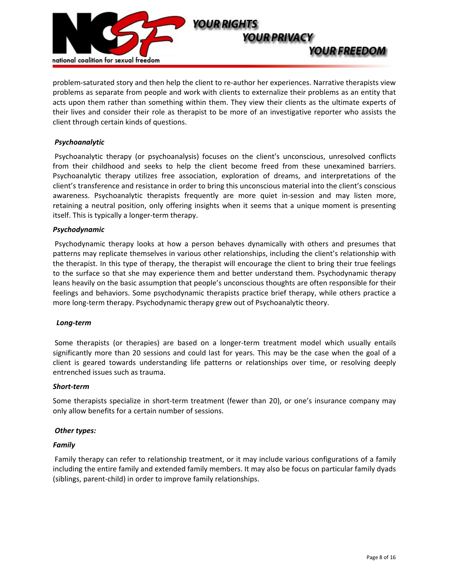

problem-saturated story and then help the client to re-author her experiences. Narrative therapists view problems as separate from people and work with clients to externalize their problems as an entity that acts upon them rather than something within them. They view their clients as the ultimate experts of their lives and consider their role as therapist to be more of an investigative reporter who assists the client through certain kinds of questions.

## *Psychoanalytic*!!

Psychoanalytic therapy (or psychoanalysis) focuses on the client's unconscious, unresolved conflicts from their childhood and seeks to help the client become freed from these unexamined barriers. Psychoanalytic therapy utilizes free association, exploration of dreams, and interpretations of the client's transference and resistance in order to bring this unconscious material into the client's conscious awareness. Psychoanalytic therapists frequently are more quiet in-session and may listen more, retaining a neutral position, only offering insights when it seems that a unique moment is presenting itself. This is typically a longer-term therapy.

## *Psychodynamic*!!

Psychodynamic therapy looks at how a person behaves dynamically with others and presumes that patterns may replicate themselves in various other relationships, including the client's relationship with the therapist. In this type of therapy, the therapist will encourage the client to bring their true feelings to the surface so that she may experience them and better understand them. Psychodynamic therapy leans heavily on the basic assumption that people's unconscious thoughts are often responsible for their feelings and behaviors. Some psychodynamic therapists practice brief therapy, while others practice a more long-term therapy. Psychodynamic therapy grew out of Psychoanalytic theory.

#### *Long"term*!!

Some therapists (or therapies) are based on a longer-term treatment model which usually entails significantly more than 20 sessions and could last for years. This may be the case when the goal of a client is geared towards understanding life patterns or relationships over time, or resolving deeply entrenched issues such as trauma.

#### *Short"term*!!

Some therapists specialize in short-term treatment (fewer than 20), or one's insurance company may only allow benefits for a certain number of sessions.

## **Other** *types:*

#### *Family*!!

Family therapy can refer to relationship treatment, or it may include various configurations of a family including the entire family and extended family members. It may also be focus on particular family dyads (siblings, parent-child) in order to improve family relationships.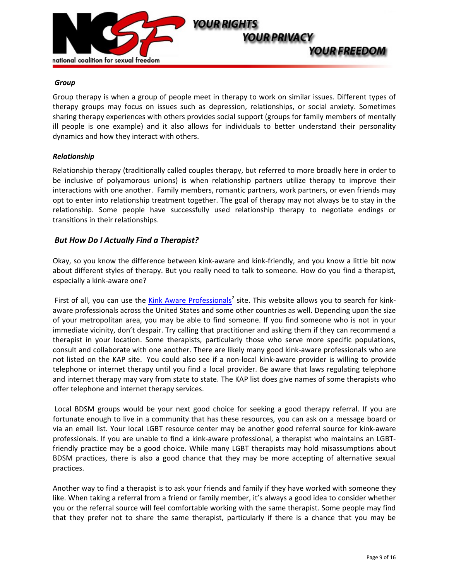

#### *Group*!!

Group therapy is when a group of people meet in therapy to work on similar issues. Different types of therapy groups may focus on issues such as depression, relationships, or social anxiety. Sometimes sharing therapy experiences with others provides social support (groups for family members of mentally ill people is one example) and it also allows for individuals to better understand their personality dynamics and how they interact with others.

#### *Relationship*!!

Relationship therapy (traditionally called couples therapy, but referred to more broadly here in order to be inclusive of polyamorous unions) is when relationship partners utilize therapy to improve their interactions with one another. Family members, romantic partners, work partners, or even friends may opt to enter into relationship treatment together. The goal of therapy may not always be to stay in the relationship. Some people have successfully used relationship therapy to negotiate endings or transitions in their relationships.!!

## *But How Do I Actually Find a Therapist?*!!

Okay, so you know the difference between kink-aware and kink-friendly, and you know a little bit now about different styles of therapy. But you really need to talk to someone. How do you find a therapist, especially a kink-aware one?

First of all, you can use the Kink Aware [Professionals](http://www.ncsfreedom.org/index.php?option=com_keyword&id=270)<sup>2</sup> site. This website allows you to search for kinkaware professionals across the United States and some other countries as well. Depending upon the size of your metropolitan area, you may be able to find someone. If you find someone who is not in your immediate vicinity, don't despair. Try calling that practitioner and asking them if they can recommend a therapist in your location. Some therapists, particularly those who serve more specific populations, consult and collaborate with one another. There are likely many good kink-aware professionals who are not listed on the KAP site. You could also see if a non-local kink-aware provider is willing to provide telephone or internet therapy until you find a local provider. Be aware that laws regulating telephone and internet therapy may vary from state to state. The KAP list does give names of some therapists who offer telephone and internet therapy services.

Local BDSM groups would be your next good choice for seeking a good therapy referral. If you are fortunate enough to live in a community that has these resources, you can ask on a message board or via an email list. Your local LGBT resource center may be another good referral source for kink-aware professionals. If you are unable to find a kink-aware professional, a therapist who maintains an LGBTfriendly practice may be a good choice. While many LGBT therapists may hold misassumptions about BDSM practices, there is also a good chance that they may be more accepting of alternative sexual practices.

Another way to find a therapist is to ask your friends and family if they have worked with someone they like. When taking a referral from a friend or family member, it's always a good idea to consider whether you or the referral source will feel comfortable working with the same therapist. Some people may find that they prefer not to share the same therapist, particularly if there is a chance that you may be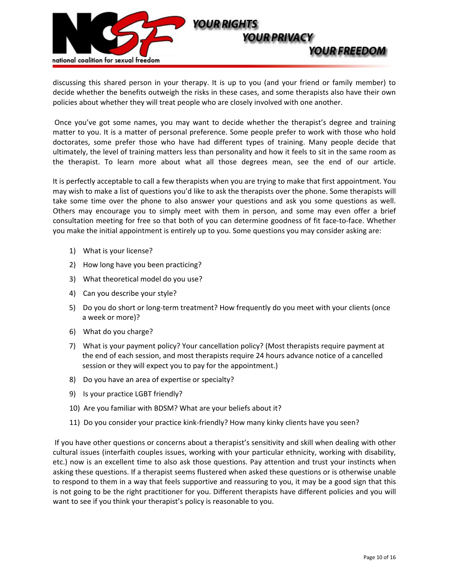

discussing this shared person in your therapy. It is up to you (and your friend or family member) to decide whether the benefits outweigh the risks in these cases, and some therapists also have their own policies about whether they will treat people who are closely involved with one another.

Once you've got some names, you may want to decide whether the therapist's degree and training matter to you. It is a matter of personal preference. Some people prefer to work with those who hold doctorates, some prefer those who have had different types of training. Many people decide that ultimately, the level of training matters less than personality and how it feels to sit in the same room as the therapist. To learn more about what all those degrees mean, see the end of our article.

It is perfectly acceptable to call a few therapists when you are trying to make that first appointment. You may wish to make a list of questions you'd like to ask the therapists over the phone. Some therapists will take some time over the phone to also answer your questions and ask you some questions as well. Others may encourage you to simply meet with them in person, and some may even offer a brief consultation meeting for free so that both of you can determine goodness of fit face-to-face. Whether you make the initial appointment is entirely up to you. Some questions you may consider asking are:

- 1) What is your license?
- 2) How long have you been practicing?
- 3) What theoretical model do you use?
- 4) Can you describe your style?
- 5) Do you do short or long-term treatment? How frequently do you meet with your clients (once a week or more)?
- 6) What do you charge?
- 7)!!!!What is your payment policy? Your cancellation policy? (Most therapists require payment at the end of each session, and most therapists require 24 hours advance notice of a cancelled session or they will expect you to pay for the appointment.)
- 8) Do you have an area of expertise or specialty?
- 9) Is your practice LGBT friendly?
- 10) Are you familiar with BDSM? What are your beliefs about it?
- 11) Do you consider your practice kink-friendly? How many kinky clients have you seen?

If you have other questions or concerns about a therapist's sensitivity and skill when dealing with other cultural issues (interfaith couples issues, working with your particular ethnicity, working with disability, etc.) now is an excellent time to also ask those questions. Pay attention and trust your instincts when asking these questions. If a therapist seems flustered when asked these questions or is otherwise unable to respond to them in a way that feels supportive and reassuring to you, it may be a good sign that this is not going to be the right practitioner for you. Different therapists have different policies and you will want to see if you think your therapist's policy is reasonable to you.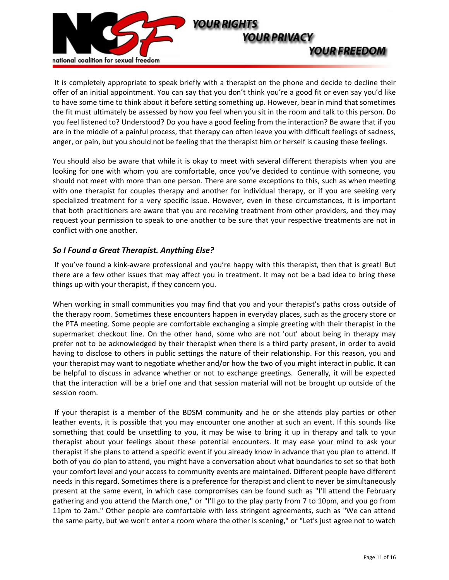

It is completely appropriate to speak briefly with a therapist on the phone and decide to decline their offer of an initial appointment. You can say that you don't think you're a good fit or even say you'd like to have some time to think about it before setting something up. However, bear in mind that sometimes the fit must ultimately be assessed by how you feel when you sit in the room and talk to this person. Do you feel listened to? Understood? Do you have a good feeling from the interaction? Be aware that if you are in the middle of a painful process, that therapy can often leave you with difficult feelings of sadness, anger, or pain, but you should not be feeling that the therapist him or herself is causing these feelings.

You should also be aware that while it is okay to meet with several different therapists when you are looking for one with whom you are comfortable, once you've decided to continue with someone, you should not meet with more than one person. There are some exceptions to this, such as when meeting with one therapist for couples therapy and another for individual therapy, or if you are seeking very specialized treatment for a very specific issue. However, even in these circumstances, it is important that both practitioners are aware that you are receiving treatment from other providers, and they may request your permission to speak to one another to be sure that your respective treatments are not in conflict with one another.

## *So I Found a Great Therapist. Anything Else?*!!

If you've found a kink-aware professional and you're happy with this therapist, then that is great! But there are a few other issues that may affect you in treatment. It may not be a bad idea to bring these things up with your therapist, if they concern you.

When working in small communities you may find that you and your therapist's paths cross outside of the therapy room. Sometimes these encounters happen in everyday places, such as the grocery store or the PTA meeting. Some people are comfortable exchanging a simple greeting with their therapist in the supermarket checkout line. On the other hand, some who are not 'out' about being in therapy may prefer not to be acknowledged by their therapist when there is a third party present, in order to avoid having to disclose to others in public settings the nature of their relationship. For this reason, you and your therapist may want to negotiate whether and/or how the two of you might interact in public. It can be helpful to discuss in advance whether or not to exchange greetings. Generally, it will be expected that the interaction will be a brief one and that session material will not be brought up outside of the session room.

If your therapist is a member of the BDSM community and he or she attends play parties or other leather events, it is possible that you may encounter one another at such an event. If this sounds like something that could be unsettling to you, it may be wise to bring it up in therapy and talk to your therapist about your feelings about these potential encounters. It may ease your mind to ask your therapist if she plans to attend a specific event if you already know in advance that you plan to attend. If both of you do plan to attend, you might have a conversation about what boundaries to set so that both your comfort level and your access to community events are maintained. Different people have different needs in this regard. Sometimes there is a preference for therapist and client to never be simultaneously present at the same event, in which case compromises can be found such as "I'll attend the February gathering and you attend the March one," or "I'll go to the play party from 7 to 10pm, and you go from 11pm to 2am." Other people are comfortable with less stringent agreements, such as "We can attend the same party, but we won't enter a room where the other is scening," or "Let's just agree not to watch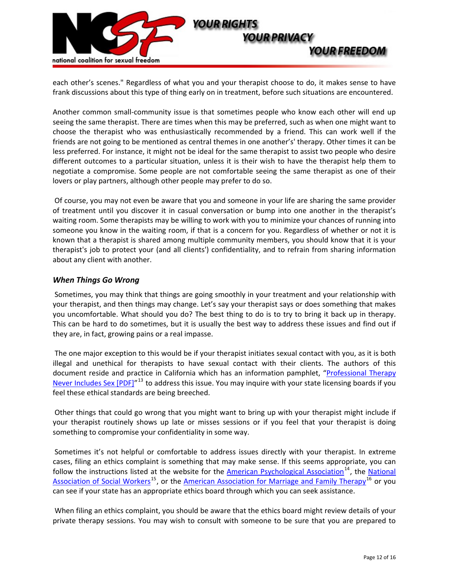

each other's scenes." Regardless of what you and your therapist choose to do, it makes sense to have frank discussions about this type of thing early on in treatment, before such situations are encountered.

Another common small-community issue is that sometimes people who know each other will end up seeing the same therapist. There are times when this may be preferred, such as when one might want to choose the therapist who was enthusiastically recommended by a friend. This can work well if the friends are not going to be mentioned as central themes in one another's' therapy. Other times it can be less preferred. For instance, it might not be ideal for the same therapist to assist two people who desire different outcomes to a particular situation, unless it is their wish to have the therapist help them to negotiate a compromise. Some people are not comfortable seeing the same therapist as one of their lovers or play partners, although other people may prefer to do so.

Of course, you may not even be aware that you and someone in your life are sharing the same provider of treatment until you discover it in casual conversation or bump into one another in the therapist's waiting room. Some therapists may be willing to work with you to minimize your chances of running into someone you know in the waiting room, if that is a concern for you. Regardless of whether or not it is known that a therapist is shared among multiple community members, you should know that it is your therapist's job to protect your (and all clients') confidentiality, and to refrain from sharing information about any client with another.

## *When Things Go Wrong*!!

Sometimes, you may think that things are going smoothly in your treatment and your relationship with your therapist, and then things may change. Let's say your therapist says or does something that makes you uncomfortable. What should you do? The best thing to do is to try to bring it back up in therapy. This can be hard to do sometimes, but it is usually the best way to address these issues and find out if they are, in fact, growing pains or a real impasse.

The one major exception to this would be if your therapist initiates sexual contact with you, as it is both illegal and unethical for therapists to have sexual contact with their clients. The authors of this document reside and practice in California which has an information pamphlet, ["Professional](http://www.bbs.ca.gov/pdf/publications/proftherapy.pdf) Therapy Never Includes Sex [PDF]"<sup>[13](#page-15-1)</sup> to address this issue. You may inquire with your state licensing boards if you feel these ethical standards are being breeched.

Other things that could go wrong that you might want to bring up with your therapist might include if your therapist routinely shows up late or misses sessions or if you feel that your therapist is doing something to compromise your confidentiality in some way.

Sometimes it's not helpful or comfortable to address issues directly with your therapist. In extreme cases, filing an ethics complaint is something that may make sense. If this seems appropriate, you can follow the instructions listed at the website for the American Psychological Association<sup>[14](#page-15-1)</sup>, the [National](http://www.socialworkers.org/) Association of Social Workers<sup>[15](#page-15-1)</sup>, or the American Association for Marriage and Family Therapy<sup>[16](#page-15-1)</sup> or you can see if your state has an appropriate ethics board through which you can seek assistance.

When filing an ethics complaint, you should be aware that the ethics board might review details of your private therapy sessions. You may wish to consult with someone to be sure that you are prepared to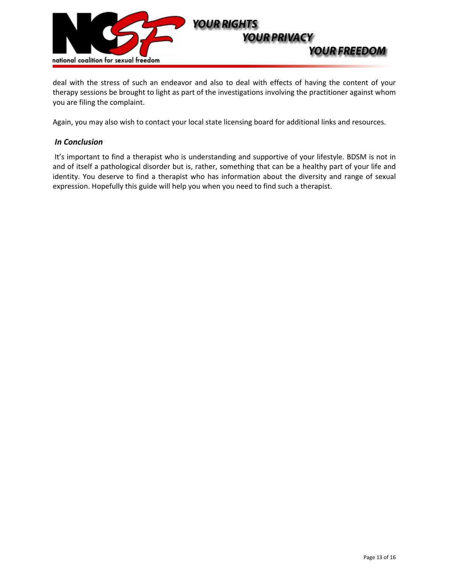

deal with the stress of such an endeavor and also to deal with effects of having the content of your therapy sessions be brought to light as part of the investigations involving the practitioner against whom you are filing the complaint.

Again, you may also wish to contact your local state licensing board for additional links and resources.

## *In Conclusion*!!

It's important to find a therapist who is understanding and supportive of your lifestyle. BDSM is not in and of itself a pathological disorder but is, rather, something that can be a healthy part of your life and identity. You deserve to find a therapist who has information about the diversity and range of sexual expression. Hopefully this guide will help you when you need to find such a therapist.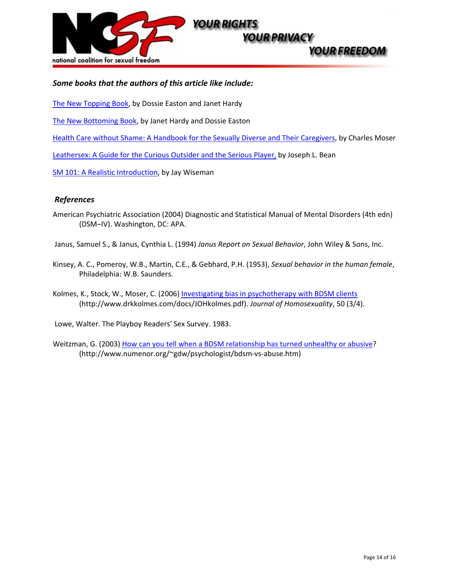

## *Some books that the authors of this article like include:!!*

The New [Topping](http://www.amazon.com/New-Topping-Book-Dossie-Easton/dp/1890159360/ref=sr_1_1?ie=UTF8&s=books&qid=1253687703&sr=1-1) Book, by Dossie Easton and Janet Hardy

The New [Bottoming](http://www.amazon.com/New-Bottoming-Book-Janet-Hardy/dp/1890159352/ref=sr_1_2?ie=UTF8&s=books&qid=1253687638&sr=1-2) Book, by Janet Hardy and Dossie Easton

Health Care without Shame: A Handbook for the Sexually Diverse and Their [Caregivers,](http://www.amazon.com/Health-Care-Without-Shame-Caregivers/dp/1890159123/ref=sr_1_1?ie=UTF8&s=books&qid=1253687502&sr=1-1) by Charles Moser

[Leathersex:](http://www.amazon.com/Leathersex-Curious-Outsider-Serious-Player/dp/1881943054/ref=sr_1_1?ie=UTF8&s=books&qid=1253687606&sr=1-1) A Guide for the Curious Outsider and the Serious Player, by Joseph L. Bean

SM 101: A Realistic [Introduction](http://www.amazon.com/101-Realistic-Introduction-Jay-Wiseman/dp/0963976389/ref=sr_1_1?ie=UTF8&s=books&qid=1253687318&sr=8-1), by Jay Wiseman

## *References*!!!!

American Psychiatric Association (2004) Diagnostic and Statistical Manual of Mental Disorders (4th edn) (DSM-IV). Washington, DC: APA.

Janus, Samuel S., & Janus, Cynthia L. (1994) *Janus Report on Sexual Behavior*, John Wiley & Sons, Inc.

Kinsey, A. C., Pomeroy, W.B., Martin, C.E., & Gebhard, P.H. (1953), *Sexual behavior in the human female*, Philadelphia: W.B. Saunders.

Kolmes, K., Stock, W., Moser, C. (2006) Investigating bias in [psychotherapy](http://www.drkkolmes.com/docs/JOHkolmes.pdf) with BDSM clients (http://www.drkkolmes.com/docs/JOHkolmes.pdf). *Journal of Homosexuality*, 50 (3/4).!!

Lowe, Walter. The Playboy Readers' Sex Survey. 1983.

Weitzman, G. (2003) How can you tell when a BDSM [relationship](http://www.numenor.org/%7Egdw/psychologist/bdsm-vs-abuse.htm) has turned unhealthy or abusive? (http://www.numenor.org/~gdw/psychologist/bdsm-vs-abuse.htm)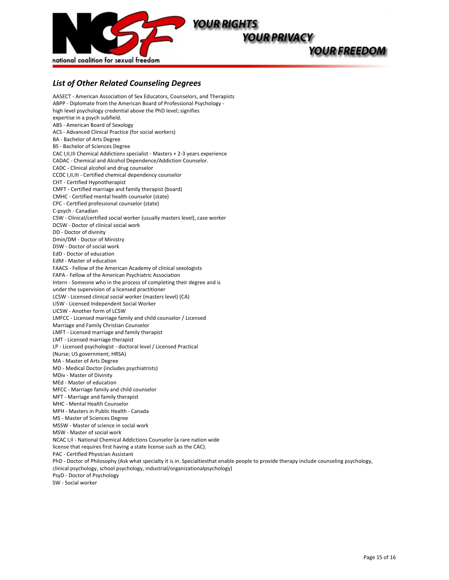

## *List of Other Related Counseling Degrees*!!

AASECT - American Association of Sex Educators, Counselors, and Therapists ABPP - Diplomate from the American Board of Professional Psychology high level psychology credential above the PhD level; signifies expertise in a psych subfield. ABS - American Board of Sexology ACS - Advanced Clinical Practice (for social workers) BA - Bachelor of Arts Degree BS - Bachelor of Sciences Degree CAC I, II, III Chemical Addictions specialist - Masters + 2-3 years experience CADAC - Chemical and Alcohol Dependence/Addiction Counselor. CADC - Clinical alcohol and drug counselor CCDC I, II, III - Certified chemical dependency counselor CHT - Certified Hypnotherapist CMFT - Certified marriage and family therapist (board) CMHC - Certified mental health counselor (state) CPC - Certified professional counselor (state) C-psych - Canadian CSW - Clinical/certified social worker (usually masters level), case worker DCSW - Doctor of clinical social work DD - Doctor of divinity Dmin/DM - Doctor of Ministry DSW - Doctor of social work EdD - Doctor of education EdM - Master of education FAACS - Fellow of the American Academy of clinical sexologists FAPA - Fellow of the American Psychiatric Association Intern - Someone who in the process of completing their degree and is under the supervision of a licensed practitioner LCSW - Licensed clinical social worker (masters level) (CA) LISW - Licensed Independent Social Worker LICSW - Another form of LCSW LMFCC - Licensed marriage family and child counselor / Licensed Marriage and Family Christian Counselor LMFT - Licensed marriage and family therapist LMT - Licensed marriage therapist LP - Licensed psychologist - doctoral level / Licensed Practical (Nurse; US government; HRSA) MA - Master of Arts Degree MD - Medical Doctor (includes psychiatrists) MDiv - Master of Divinity MEd - Master of education MFCC - Marriage family and child counselor MFT - Marriage and family therapist MHC - Mental Health Counselor MPH - Masters in Public Health - Canada MS - Master of Sciences Degree MSSW - Master of science in social work MSW - Master of social work NCAC I, II - National Chemical Addictions Counselor (a rare nation wide license that requires first having a state license such as the CAC). PAC - Certified Physician Assistant PhD - Doctor of Philosophy (Ask what specialty it is in. Specialtiesthat enable people to provide therapy include counseling psychology, clinical psychology, school psychology, industrial/organizationalpsychology) PsyD - Doctor of Psychology SW - Social worker